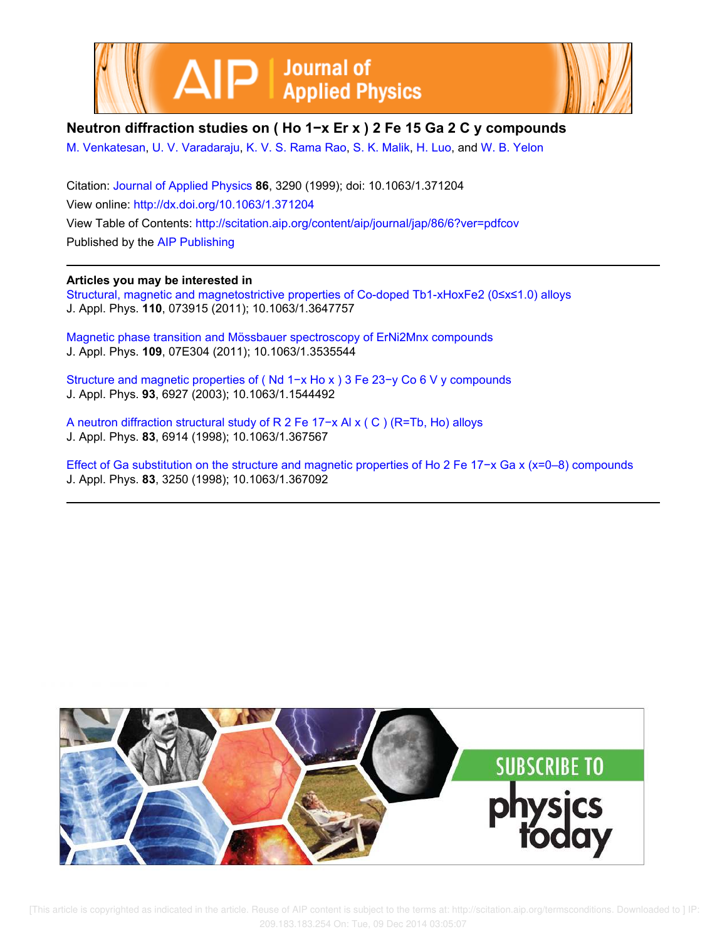



# **Neutron diffraction studies on ( Ho 1−x Er x ) 2 Fe 15 Ga 2 C y compounds**

M. Venkatesan, U. V. Varadaraju, K. V. S. Rama Rao, S. K. Malik, H. Luo, and W. B. Yelon

Citation: Journal of Applied Physics **86**, 3290 (1999); doi: 10.1063/1.371204 View online: http://dx.doi.org/10.1063/1.371204 View Table of Contents: http://scitation.aip.org/content/aip/journal/jap/86/6?ver=pdfcov Published by the AIP Publishing

## **Articles you may be interested in**

Structural, magnetic and magnetostrictive properties of Co-doped Tb1-xHoxFe2 (0≤x≤1.0) alloys J. Appl. Phys. **110**, 073915 (2011); 10.1063/1.3647757

Magnetic phase transition and Mössbauer spectroscopy of ErNi2Mnx compounds J. Appl. Phys. **109**, 07E304 (2011); 10.1063/1.3535544

Structure and magnetic properties of ( Nd 1−x Ho x ) 3 Fe 23−y Co 6 V y compounds J. Appl. Phys. **93**, 6927 (2003); 10.1063/1.1544492

A neutron diffraction structural study of R 2 Fe 17−x Al x ( C ) (R=Tb, Ho) alloys J. Appl. Phys. **83**, 6914 (1998); 10.1063/1.367567

Effect of Ga substitution on the structure and magnetic properties of Ho 2 Fe 17−x Ga x (x=0–8) compounds J. Appl. Phys. **83**, 3250 (1998); 10.1063/1.367092



 [This article is copyrighted as indicated in the article. Reuse of AIP content is subject to the terms at: http://scitation.aip.org/termsconditions. Downloaded to ] IP: 209.183.183.254 On: Tue, 09 Dec 2014 03:05:07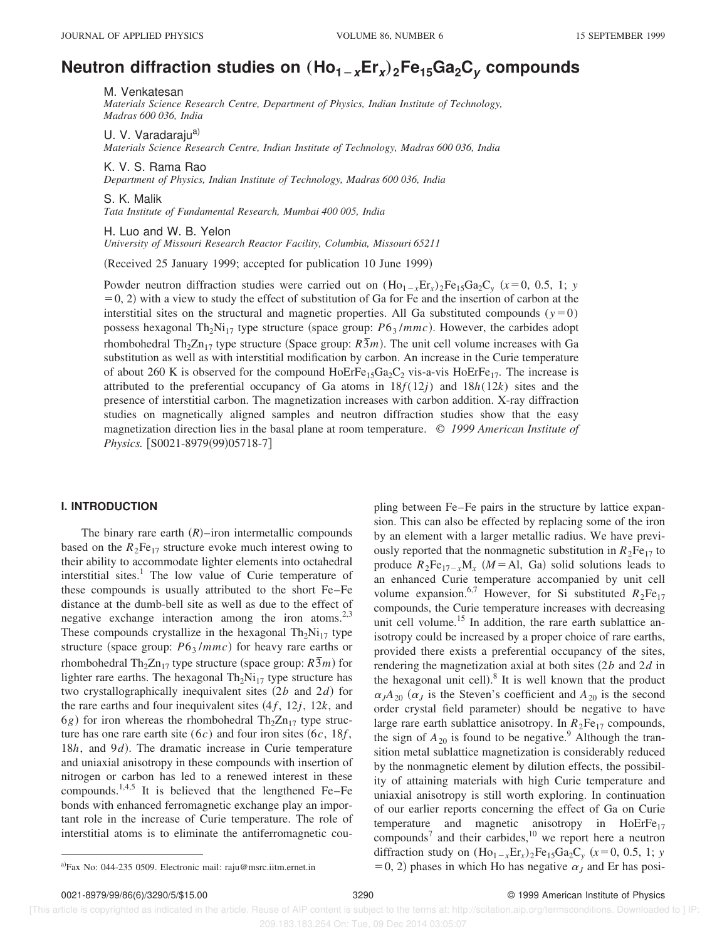# **Neutron diffraction studies on** "**Ho1**2**xEr<sup>x</sup>** …**2Fe15Ga2C<sup>y</sup> compounds**

M. Venkatesan

*Materials Science Research Centre, Department of Physics, Indian Institute of Technology, Madras 600 036, India*

U. V. Varadaraju<sup>a)</sup> *Materials Science Research Centre, Indian Institute of Technology, Madras 600 036, India*

K. V. S. Rama Rao *Department of Physics, Indian Institute of Technology, Madras 600 036, India*

S. K. Malik

*Tata Institute of Fundamental Research, Mumbai 400 005, India*

H. Luo and W. B. Yelon *University of Missouri Research Reactor Facility, Columbia, Missouri 65211*

(Received 25 January 1999; accepted for publication 10 June 1999)

Powder neutron diffraction studies were carried out on  $(Ho_{1-x}Er_x)_2Fe_{15}Ga_2C_y$  ( $x=0, 0.5, 1$ ; *y*  $(50, 2)$  with a view to study the effect of substitution of Ga for Fe and the insertion of carbon at the interstitial sites on the structural and magnetic properties. All Ga substituted compounds  $(y=0)$ possess hexagonal Th<sub>2</sub>Ni<sub>17</sub> type structure (space group:  $P6<sub>3</sub>/mmc$ ). However, the carbides adopt rhombohedral Th<sub>2</sub>Zn<sub>17</sub> type structure (Space group:  $R\overline{3}m$ ). The unit cell volume increases with Ga substitution as well as with interstitial modification by carbon. An increase in the Curie temperature of about 260 K is observed for the compound  $HoErFe<sub>15</sub>Ga<sub>2</sub>C<sub>2</sub>$  vis-a-vis  $HoErFe<sub>17</sub>$ . The increase is attributed to the preferential occupancy of Ga atoms in  $18f(12j)$  and  $18h(12k)$  sites and the presence of interstitial carbon. The magnetization increases with carbon addition. X-ray diffraction studies on magnetically aligned samples and neutron diffraction studies show that the easy magnetization direction lies in the basal plane at room temperature. © *1999 American Institute of Physics.* [S0021-8979(99)05718-7]

#### **I. INTRODUCTION**

The binary rare earth  $(R)$ –iron intermetallic compounds based on the  $R_2Fe_{17}$  structure evoke much interest owing to their ability to accommodate lighter elements into octahedral interstitial sites. $\frac{1}{1}$  The low value of Curie temperature of these compounds is usually attributed to the short Fe–Fe distance at the dumb-bell site as well as due to the effect of negative exchange interaction among the iron atoms.<sup>2,3</sup> These compounds crystallize in the hexagonal  $Th_2Ni_{17}$  type structure (space group:  $P6_3/mmc$ ) for heavy rare earths or rhombohedral Th<sub>2</sub>Zn<sub>17</sub> type structure (space group:  $R\bar{3}m$ ) for lighter rare earths. The hexagonal  $Th_2Ni_{17}$  type structure has two crystallographically inequivalent sites  $(2b \text{ and } 2d)$  for the rare earths and four inequivalent sites  $(4f, 12j, 12k,$  and  $6g$ ) for iron whereas the rhombohedral Th<sub>2</sub>Zn<sub>17</sub> type structure has one rare earth site  $(6c)$  and four iron sites  $(6c, 18f, )$ 18*h*, and 9*d*). The dramatic increase in Curie temperature and uniaxial anisotropy in these compounds with insertion of nitrogen or carbon has led to a renewed interest in these compounds.<sup>1,4,5</sup> It is believed that the lengthened Fe–Fe bonds with enhanced ferromagnetic exchange play an important role in the increase of Curie temperature. The role of interstitial atoms is to eliminate the antiferromagnetic cou-

pling between Fe–Fe pairs in the structure by lattice expansion. This can also be effected by replacing some of the iron by an element with a larger metallic radius. We have previously reported that the nonmagnetic substitution in  $R_2Fe_{17}$  to produce  $R_2Fe_{17-x}M_x$  (*M* = Al, Ga) solid solutions leads to an enhanced Curie temperature accompanied by unit cell volume expansion.<sup>6,7</sup> However, for Si substituted  $R_2Fe_{17}$ compounds, the Curie temperature increases with decreasing unit cell volume.<sup>15</sup> In addition, the rare earth sublattice anisotropy could be increased by a proper choice of rare earths, provided there exists a preferential occupancy of the sites, rendering the magnetization axial at both sites  $(2b \text{ and } 2d \text{ in})$ the hexagonal unit cell). $^{8}$  It is well known that the product  $\alpha$ <sub>*J*</sub> $A$ <sub>20</sub> ( $\alpha$ <sub>*J*</sub> is the Steven's coefficient and  $A$ <sub>20</sub> is the second order crystal field parameter) should be negative to have large rare earth sublattice anisotropy. In  $R_2Fe_{17}$  compounds, the sign of  $A_{20}$  is found to be negative.<sup>9</sup> Although the transition metal sublattice magnetization is considerably reduced by the nonmagnetic element by dilution effects, the possibility of attaining materials with high Curie temperature and uniaxial anisotropy is still worth exploring. In continuation of our earlier reports concerning the effect of Ga on Curie temperature and magnetic anisotropy in  $HoErFe_{17}$ compounds<sup>7</sup> and their carbides,  $10$  we report here a neutron diffraction study on  $(Ho_{1-x}Er_x)_2Fe_{15}Ga_2C_y$  ( $x=0, 0.5, 1$ ; *y* <sup>a)</sup>Fax No: 044-235 0509. Electronic mail: raju@msrc.iitm.ernet.in  $=0, 2$ ) phases in which Ho has negative  $\alpha<sub>J</sub>$  and Er has posi-

 [This article is copyrighted as indicated in the article. Reuse of AIP content is subject to the terms at: http://scitation.aip.org/termsconditions. Downloaded to ] IP: 209.183.183.254 On: Tue, 09 Dec 2014 03:05:07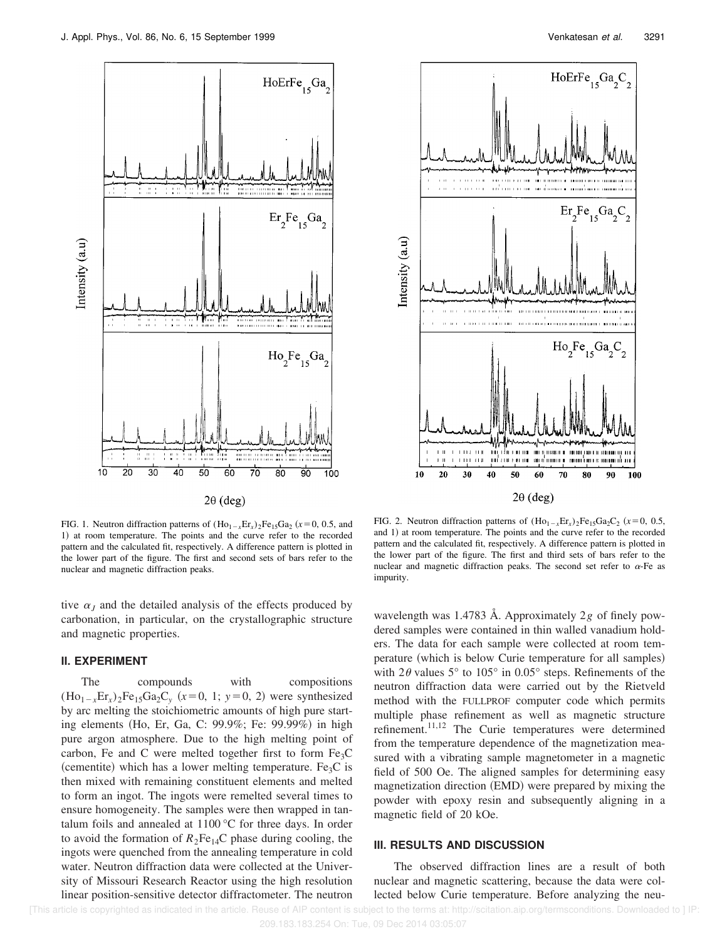

 $1.111.111.1$ -núi

гигиа

40

30

 $1 - 11$ 

 $10$  $20$ 



FIG. 1. Neutron diffraction patterns of  $(Ho_{1-x}Er_x)_2Fe_{15}Ga_2$  ( $x=0, 0.5$ , and 1) at room temperature. The points and the curve refer to the recorded pattern and the calculated fit, respectively. A difference pattern is plotted in the lower part of the figure. The first and second sets of bars refer to the nuclear and magnetic diffraction peaks.

tive  $\alpha$ <sub>*J*</sub> and the detailed analysis of the effects produced by carbonation, in particular, on the crystallographic structure and magnetic properties.

### **II. EXPERIMENT**

The compounds with compositions  $(Ho_{1-x}Er_x)_2Fe_{15}Ga_2C_y$  ( $x=0, 1$ ;  $y=0, 2$ ) were synthesized by arc melting the stoichiometric amounts of high pure starting elements (Ho, Er, Ga, C: 99.9%; Fe: 99.99%) in high pure argon atmosphere. Due to the high melting point of carbon, Fe and C were melted together first to form  $Fe<sub>3</sub>C$ (cementite) which has a lower melting temperature. Fe<sub>3</sub>C is then mixed with remaining constituent elements and melted to form an ingot. The ingots were remelted several times to ensure homogeneity. The samples were then wrapped in tantalum foils and annealed at 1100 °C for three days. In order to avoid the formation of  $R_2Fe_{14}C$  phase during cooling, the ingots were quenched from the annealing temperature in cold water. Neutron diffraction data were collected at the University of Missouri Research Reactor using the high resolution linear position-sensitive detector diffractometer. The neutron

FIG. 2. Neutron diffraction patterns of  $(Ho_{1-x}Er_x)_2Fe_{15}Ga_2C_2$  ( $x=0, 0.5,$ and 1) at room temperature. The points and the curve refer to the recorded pattern and the calculated fit, respectively. A difference pattern is plotted in the lower part of the figure. The first and third sets of bars refer to the nuclear and magnetic diffraction peaks. The second set refer to  $\alpha$ -Fe as impurity.

50

 $\pm\frac{1}{2}$  ,  $\pm\frac{1}{2}$  ,  $\pm\frac{1}{2}$  ,  $\pm\frac{1}{2}$  ,  $\pm\frac{1}{2}$  ,  $\pm\frac{1}{2}$  ,  $\pm\frac{1}{2}$  ,  $\pm\frac{1}{2}$  ,  $\pm\frac{1}{2}$  ,  $\pm\frac{1}{2}$  ,  $\pm\frac{1}{2}$  ,  $\pm\frac{1}{2}$  ,  $\pm\frac{1}{2}$  ,  $\pm\frac{1}{2}$  ,  $\pm\frac{1}{2}$  ,  $\pm\frac{1}{2}$ 

80

90 100

put a consign an any d'aument a complement moment aux

60 70

 $2\theta$  (deg)

wavelength was 1.4783 Å. Approximately 2*g* of finely powdered samples were contained in thin walled vanadium holders. The data for each sample were collected at room temperature (which is below Curie temperature for all samples) with  $2\theta$  values 5° to 105° in 0.05° steps. Refinements of the neutron diffraction data were carried out by the Rietveld method with the FULLPROF computer code which permits multiple phase refinement as well as magnetic structure refinement.11,12 The Curie temperatures were determined from the temperature dependence of the magnetization measured with a vibrating sample magnetometer in a magnetic field of 500 Oe. The aligned samples for determining easy magnetization direction (EMD) were prepared by mixing the powder with epoxy resin and subsequently aligning in a magnetic field of 20 kOe.

#### **III. RESULTS AND DISCUSSION**

The observed diffraction lines are a result of both nuclear and magnetic scattering, because the data were collected below Curie temperature. Before analyzing the neu-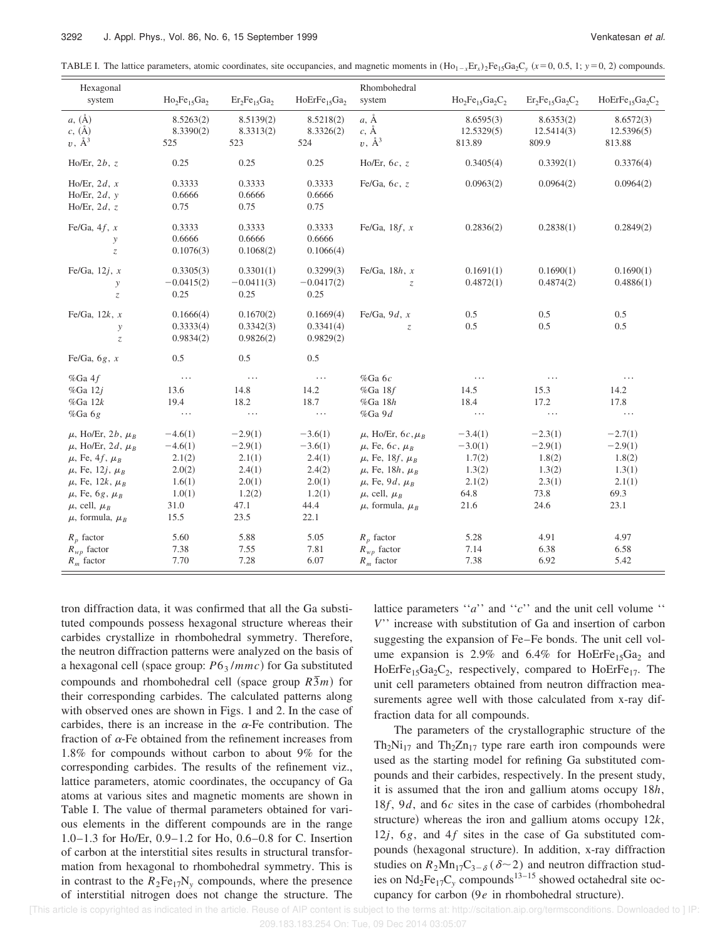TABLE I. The lattice parameters, atomic coordinates, site occupancies, and magnetic moments in  $(Ho_{1-x}Er_x)_2Fe_{15}Ga_2C_y$  ( $x=0, 0.5, 1; y=0, 2$ ) compounds.

| Hexagonal<br>system                                                                                                                                                                                                                  | $Ho_2Fe_{15}Ga_2$                                                              | $Er_2Fe_{15}Ga_2$                                                              | HoErFe <sub>15</sub> Ga <sub>2</sub>                                           | Rhombohedral<br>system                                                                                                                                                                        | $Ho_2Fe_{15}Ga_2C_2$                                                 | $Er_2Fe_15Ga_2C_2$                                                   | HoErFe <sub>15</sub> Ga <sub>2</sub> C <sub>2</sub>                  |
|--------------------------------------------------------------------------------------------------------------------------------------------------------------------------------------------------------------------------------------|--------------------------------------------------------------------------------|--------------------------------------------------------------------------------|--------------------------------------------------------------------------------|-----------------------------------------------------------------------------------------------------------------------------------------------------------------------------------------------|----------------------------------------------------------------------|----------------------------------------------------------------------|----------------------------------------------------------------------|
| $a, (\AA)$<br>$c, (\AA)$<br>$v, \mathring{A}^3$                                                                                                                                                                                      | 8.5263(2)<br>8.3390(2)<br>525                                                  | 8.5139(2)<br>8.3313(2)<br>523                                                  | 8.5218(2)<br>8.3326(2)<br>524                                                  | $a, \mathring{A}$<br>$c, \mathring{A}$<br>$v, \mathring{A}^3$                                                                                                                                 | 8.6595(3)<br>12.5329(5)<br>813.89                                    | 8.6353(2)<br>12.5414(3)<br>809.9                                     | 8.6572(3)<br>12.5396(5)<br>813.88                                    |
| Ho/Er, $2b, z$                                                                                                                                                                                                                       | 0.25                                                                           | 0.25                                                                           | 0.25                                                                           | Ho/Er, $6c$ , z                                                                                                                                                                               | 0.3405(4)                                                            | 0.3392(1)                                                            | 0.3376(4)                                                            |
| Ho/Er, $2d, x$<br>Ho/Er, $2d, y$<br>Ho/Er, $2d$ , z                                                                                                                                                                                  | 0.3333<br>0.6666<br>0.75                                                       | 0.3333<br>0.6666<br>0.75                                                       | 0.3333<br>0.6666<br>0.75                                                       | Fe/Ga, $6c$ , $z$                                                                                                                                                                             | 0.0963(2)                                                            | 0.0964(2)                                                            | 0.0964(2)                                                            |
| Fe/Ga, $4f$ , x<br>y<br>$\overline{z}$                                                                                                                                                                                               | 0.3333<br>0.6666<br>0.1076(3)                                                  | 0.3333<br>0.6666<br>0.1068(2)                                                  | 0.3333<br>0.6666<br>0.1066(4)                                                  | Fe/Ga, $18f$ , x                                                                                                                                                                              | 0.2836(2)                                                            | 0.2838(1)                                                            | 0.2849(2)                                                            |
| Fe/Ga, $12j$ , x<br>y<br>$\ensuremath{\mathnormal{Z}}$                                                                                                                                                                               | 0.3305(3)<br>$-0.0415(2)$<br>0.25                                              | 0.3301(1)<br>$-0.0411(3)$<br>0.25                                              | 0.3299(3)<br>$-0.0417(2)$<br>0.25                                              | Fe/Ga, $18h$ , x<br>$\mathcal{Z}$                                                                                                                                                             | 0.1691(1)<br>0.4872(1)                                               | 0.1690(1)<br>0.4874(2)                                               | 0.1690(1)<br>0.4886(1)                                               |
| Fe/Ga, $12k$ , x<br>y<br>$\mathcal Z$                                                                                                                                                                                                | 0.1666(4)<br>0.3333(4)<br>0.9834(2)                                            | 0.1670(2)<br>0.3342(3)<br>0.9826(2)                                            | 0.1669(4)<br>0.3341(4)<br>0.9829(2)                                            | Fe/Ga, $9d, x$<br>$Z_{i}$                                                                                                                                                                     | 0.5<br>0.5                                                           | 0.5<br>0.5                                                           | 0.5<br>0.5                                                           |
| Fe/Ga, $6g$ , x                                                                                                                                                                                                                      | 0.5                                                                            | 0.5                                                                            | 0.5                                                                            |                                                                                                                                                                                               |                                                                      |                                                                      |                                                                      |
| %Ga4f<br>%Ga $12j$<br>$%Ga$ 12 $k$<br>$%Ga$ 6g                                                                                                                                                                                       | $\ldots$<br>13.6<br>19.4<br>.                                                  | $\ldots$<br>14.8<br>18.2<br>.                                                  | $\ldots$<br>14.2<br>18.7<br>.                                                  | %Ga $6c$<br>$%Ga$ 18 $f$<br>$%Ga$ 18 $h$<br>%Ga9d                                                                                                                                             | $\cdots$<br>14.5<br>18.4<br>.                                        | $\cdots$<br>15.3<br>17.2<br>$\cdots$                                 | $\cdots$<br>14.2<br>17.8<br>.                                        |
| $\mu$ , Ho/Er, 2b, $\mu_B$<br>$\mu$ , Ho/Er, 2d, $\mu_B$<br>$\mu$ , Fe, 4f, $\mu_B$<br>$\mu$ , Fe, 12 <i>j</i> , $\mu_B$<br>$\mu$ , Fe, 12k, $\mu_B$<br>$\mu$ , Fe, 6g, $\mu_B$<br>$\mu$ , cell, $\mu_B$<br>$\mu$ , formula, $\mu_R$ | $-4.6(1)$<br>$-4.6(1)$<br>2.1(2)<br>2.0(2)<br>1.6(1)<br>1.0(1)<br>31.0<br>15.5 | $-2.9(1)$<br>$-2.9(1)$<br>2.1(1)<br>2.4(1)<br>2.0(1)<br>1.2(2)<br>47.1<br>23.5 | $-3.6(1)$<br>$-3.6(1)$<br>2.4(1)<br>2.4(2)<br>2.0(1)<br>1.2(1)<br>44.4<br>22.1 | $\mu$ , Ho/Er, 6c, $\mu_R$<br>$\mu$ , Fe, 6c, $\mu_B$<br>$\mu$ , Fe, 18f, $\mu_R$<br>$\mu$ , Fe, 18h, $\mu_B$<br>$\mu$ , Fe, 9d, $\mu_B$<br>$\mu$ , cell, $\mu_B$<br>$\mu$ , formula, $\mu_R$ | $-3.4(1)$<br>$-3.0(1)$<br>1.7(2)<br>1.3(2)<br>2.1(2)<br>64.8<br>21.6 | $-2.3(1)$<br>$-2.9(1)$<br>1.8(2)<br>1.3(2)<br>2.3(1)<br>73.8<br>24.6 | $-2.7(1)$<br>$-2.9(1)$<br>1.8(2)<br>1.3(1)<br>2.1(1)<br>69.3<br>23.1 |
| $R_p$ factor<br>$R_{wp}$ factor<br>$R_m$ factor                                                                                                                                                                                      | 5.60<br>7.38<br>7.70                                                           | 5.88<br>7.55<br>7.28                                                           | 5.05<br>7.81<br>6.07                                                           | $R_p$ factor<br>$R_{wp}$ factor<br>$R_m$ factor                                                                                                                                               | 5.28<br>7.14<br>7.38                                                 | 4.91<br>6.38<br>6.92                                                 | 4.97<br>6.58<br>5.42                                                 |

tron diffraction data, it was confirmed that all the Ga substituted compounds possess hexagonal structure whereas their carbides crystallize in rhombohedral symmetry. Therefore, the neutron diffraction patterns were analyzed on the basis of a hexagonal cell (space group:  $P6_3 / mmc$ ) for Ga substituted compounds and rhombohedral cell (space group  $R\bar{3}m$ ) for their corresponding carbides. The calculated patterns along with observed ones are shown in Figs. 1 and 2. In the case of carbides, there is an increase in the  $\alpha$ -Fe contribution. The fraction of  $\alpha$ -Fe obtained from the refinement increases from 1.8% for compounds without carbon to about 9% for the corresponding carbides. The results of the refinement viz., lattice parameters, atomic coordinates, the occupancy of Ga atoms at various sites and magnetic moments are shown in Table I. The value of thermal parameters obtained for various elements in the different compounds are in the range 1.0–1.3 for Ho/Er, 0.9–1.2 for Ho, 0.6–0.8 for C. Insertion of carbon at the interstitial sites results in structural transformation from hexagonal to rhombohedral symmetry. This is in contrast to the  $R_2Fe_{17}N_y$  compounds, where the presence of interstitial nitrogen does not change the structure. The lattice parameters ''*a*'' and ''*c*'' and the unit cell volume '' *V*'' increase with substitution of Ga and insertion of carbon suggesting the expansion of Fe–Fe bonds. The unit cell volume expansion is 2.9% and 6.4% for  $HoErFe<sub>15</sub>Ga<sub>2</sub>$  and HoErFe<sub>15</sub>Ga<sub>2</sub>C<sub>2</sub>, respectively, compared to HoErFe<sub>17</sub>. The unit cell parameters obtained from neutron diffraction measurements agree well with those calculated from x-ray diffraction data for all compounds.

The parameters of the crystallographic structure of the  $Th_2Ni_{17}$  and  $Th_2Zn_{17}$  type rare earth iron compounds were used as the starting model for refining Ga substituted compounds and their carbides, respectively. In the present study, it is assumed that the iron and gallium atoms occupy 18*h*, 18 $f$ , 9 $d$ , and 6 $c$  sites in the case of carbides (rhombohedral structure) whereas the iron and gallium atoms occupy  $12k$ , 12 $j$ , 6 $g$ , and 4 $f$  sites in the case of Ga substituted compounds (hexagonal structure). In addition, x-ray diffraction studies on  $R_2Mn_{17}C_{3-\delta}$  ( $\delta$ ~2) and neutron diffraction studies on  $Nd_2Fe_{17}C_v$  compounds<sup>13–15</sup> showed octahedral site occupancy for carbon  $(9e$  in rhombohedral structure).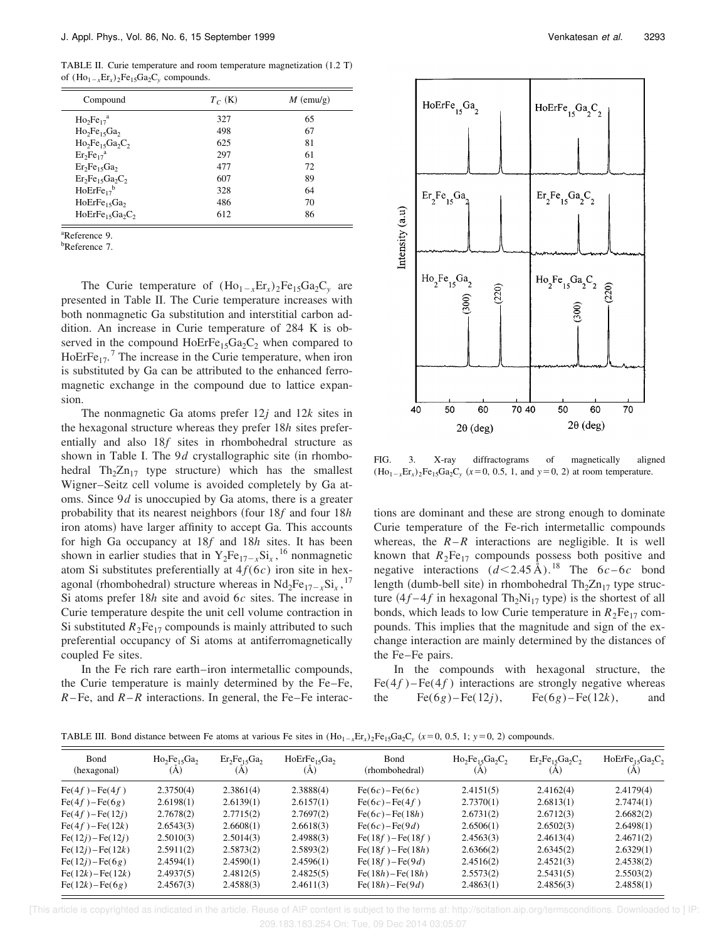TABLE II. Curie temperature and room temperature magnetization (1.2 T) of  $(Ho_{1-x}Er_x)_2Fe_{15}Ga_2C_y$  compounds.

| Compound                             | $T_C$ (K) | $M$ (emu/g) |
|--------------------------------------|-----------|-------------|
| $Ho2Fe17a$                           | 327       | 65          |
| $Ho2Fe15Ga2$                         | 498       | 67          |
| $Ho2Fe15Ga2C2$                       | 625       | 81          |
| $Er_2Fe_{17}^a$                      | 297       | 61          |
| $Er_2Fe_{15}Ga_2$                    | 477       | 72          |
| $Er_2Fe_{15}Ga_2C_2$                 | 607       | 89          |
| $HoErre_{17}^b$                      | 328       | 64          |
| HoErFe <sub>15</sub> Ga <sub>2</sub> | 486       | 70          |
| $HoErFe15Ga2C2$                      | 612       | 86          |

<sup>a</sup>Reference 9.

<sup>b</sup>Reference 7.

The Curie temperature of  $(Ho_{1-x}Er_x)_2Fe_{15}Ga_2C_y$  are presented in Table II. The Curie temperature increases with both nonmagnetic Ga substitution and interstitial carbon addition. An increase in Curie temperature of 284 K is observed in the compound  $HoErFe<sub>15</sub>Ga<sub>2</sub>C<sub>2</sub>$  when compared to HoErFe<sub>17</sub>.<sup>7</sup> The increase in the Curie temperature, when iron is substituted by Ga can be attributed to the enhanced ferromagnetic exchange in the compound due to lattice expansion.

The nonmagnetic Ga atoms prefer 12*j* and 12*k* sites in the hexagonal structure whereas they prefer 18*h* sites preferentially and also 18*f* sites in rhombohedral structure as shown in Table I. The  $9d$  crystallographic site (in rhombohedral  $Th_2Zn_{17}$  type structure) which has the smallest Wigner–Seitz cell volume is avoided completely by Ga atoms. Since 9*d* is unoccupied by Ga atoms, there is a greater probability that its nearest neighbors ~four 18*f* and four 18*h* iron atoms) have larger affinity to accept Ga. This accounts for high Ga occupancy at 18*f* and 18*h* sites. It has been shown in earlier studies that in  $Y_2Fe_{17-x}Si_x$ , <sup>16</sup> nonmagnetic atom Si substitutes preferentially at  $4f(6c)$  iron site in hexagonal (rhombohedral) structure whereas in  $Nd_2Fe_{17-x}Si_x$ ,<sup>17</sup> Si atoms prefer 18*h* site and avoid 6*c* sites. The increase in Curie temperature despite the unit cell volume contraction in Si substituted  $R_2Fe_{17}$  compounds is mainly attributed to such preferential occupancy of Si atoms at antiferromagnetically coupled Fe sites.

In the Fe rich rare earth–iron intermetallic compounds, the Curie temperature is mainly determined by the Fe–Fe,  $R$ – Fe, and  $R$ – $R$  interactions. In general, the Fe–Fe interac-



FIG. 3. X-ray diffractograms of magnetically aligned  $(Ho_{1-x}Er_x)_2Fe_{15}Ga_2C_y$  ( $x=0, 0.5, 1,$  and  $y=0, 2$ ) at room temperature.

tions are dominant and these are strong enough to dominate Curie temperature of the Fe-rich intermetallic compounds whereas, the  $R-R$  interactions are negligible. It is well known that  $R_2Fe_{17}$  compounds possess both positive and negative interactions  $(d< 2.45 \text{ Å})$ .<sup>18</sup> The  $6c-6c$  bond length (dumb-bell site) in rhombohedral  $Th<sub>2</sub>Zn<sub>17</sub>$  type structure  $(4f-4f$  in hexagonal Th<sub>2</sub>Ni<sub>17</sub> type) is the shortest of all bonds, which leads to low Curie temperature in  $R_2Fe_{17}$  compounds. This implies that the magnitude and sign of the exchange interaction are mainly determined by the distances of the Fe–Fe pairs.

In the compounds with hexagonal structure, the  $Fe(4f) - Fe(4f)$  interactions are strongly negative whereas the Fe(6*g*)–Fe(12*j*), Fe(6*g*)–Fe(12*k*), and

TABLE III. Bond distance between Fe atoms at various Fe sites in  $(Ho_{1-x}Er_x)_2Fe_{15}Ga_2C_y$  ( $x=0, 0.5, 1; y=0, 2$ ) compounds.

| Bond<br>(hexagonal)       | $Ho2Fe15Ga2$<br>(A) | $Er_2Fe_{15}Ga_2$<br>(A) | HoErFe <sub>15</sub> Ga <sub>2</sub><br>(A) | Bond<br>(rhombohedral) | $Ho2Fe15Ga2C2$<br>(A) | $Er_2Fe_{15}Ga_2C_2$<br>(A) | HoErFe <sub>15</sub> Ga <sub>2</sub> C <sub>2</sub><br>(A |
|---------------------------|---------------------|--------------------------|---------------------------------------------|------------------------|-----------------------|-----------------------------|-----------------------------------------------------------|
| $Fe(4f) - Fe(4f)$         | 2.3750(4)           | 2.3861(4)                | 2.3888(4)                                   | Fe(6c) – Fe(6c)        | 2.4151(5)             | 2.4162(4)                   | 2.4179(4)                                                 |
| $Fe(4f) - Fe(6g)$         | 2.6198(1)           | 2.6139(1)                | 2.6157(1)                                   | Fe(6c) – Fe(4f)        | 2.7370(1)             | 2.6813(1)                   | 2.7474(1)                                                 |
| $Fe(4f) - Fe(12j)$        | 2.7678(2)           | 2.7715(2)                | 2.7697(2)                                   | Fe(6c) – Fe(18h)       | 2.6731(2)             | 2.6712(3)                   | 2.6682(2)                                                 |
| $Fe(4f) - Fe(12k)$        | 2.6543(3)           | 2.6608(1)                | 2.6618(3)                                   | Fe(6c) – Fe(9d)        | 2.6506(1)             | 2.6502(3)                   | 2.6498(1)                                                 |
| Fe(12j) – Fe(12j)         | 2.5010(3)           | 2.5014(3)                | 2.4988(3)                                   | Fe(18f) – Fe(18f)      | 2.4563(3)             | 2.4613(4)                   | 2.4671(2)                                                 |
| Fe(12j) – Fe(12k)         | 2.5911(2)           | 2.5873(2)                | 2.5893(2)                                   | Fe(18f) – Fe(18h)      | 2.6366(2)             | 2.6345(2)                   | 2.6329(1)                                                 |
| Fe(12i) – Fe(6g)          | 2.4594(1)           | 2.4590(1)                | 2.4596(1)                                   | Fe(18f)-Fe(9d)         | 2.4516(2)             | 2.4521(3)                   | 2.4538(2)                                                 |
| Fe( $12k$ ) – Fe( $12k$ ) | 2.4937(5)           | 2.4812(5)                | 2.4825(5)                                   | Fe $(18h)$ -Fe $(18h)$ | 2.5573(2)             | 2.5431(5)                   | 2.5503(2)                                                 |
| Fe( $12k$ ) – Fe( $6g$ )  | 2.4567(3)           | 2.4588(3)                | 2.4611(3)                                   | Fe(18h) – Fe(9d)       | 2.4863(1)             | 2.4856(3)                   | 2.4858(1)                                                 |

 [This article is copyrighted as indicated in the article. Reuse of AIP content is subject to the terms at: http://scitation.aip.org/termsconditions. Downloaded to ] IP: 209.183.183.254 On: Tue, 09 Dec 2014 03:05:07